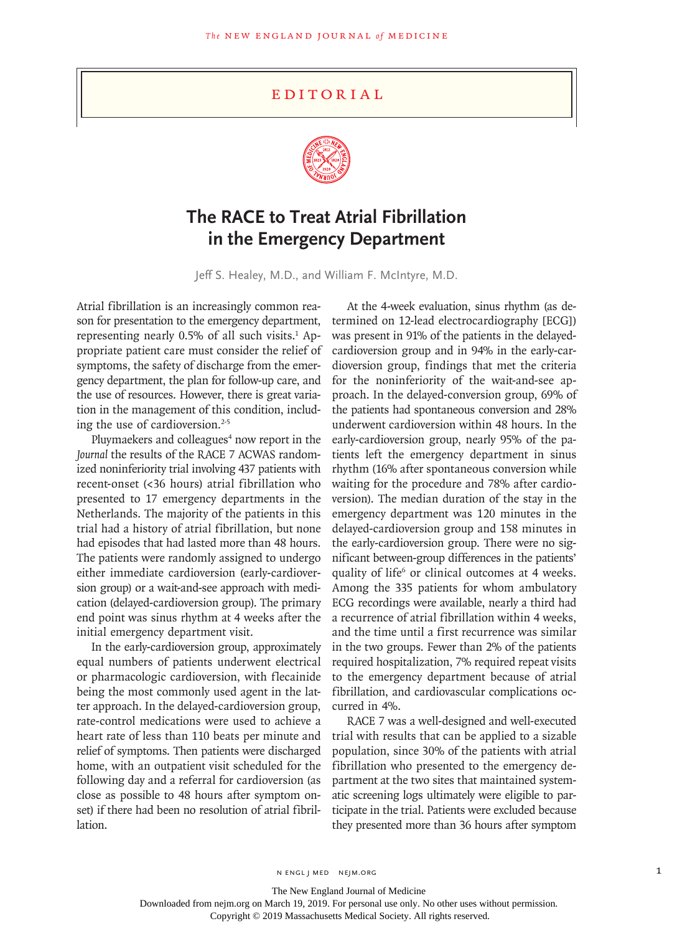## **EDITORIAL**



## **The RACE to Treat Atrial Fibrillation in the Emergency Department**

Jeff S. Healey, M.D., and William F. McIntyre, M.D.

Atrial fibrillation is an increasingly common reason for presentation to the emergency department, representing nearly  $0.5\%$  of all such visits.<sup>1</sup> Appropriate patient care must consider the relief of symptoms, the safety of discharge from the emergency department, the plan for follow-up care, and the use of resources. However, there is great variation in the management of this condition, including the use of cardioversion.<sup>2-5</sup>

Pluymaekers and colleagues<sup>4</sup> now report in the *Journal* the results of the RACE 7 ACWAS randomized noninferiority trial involving 437 patients with recent-onset (<36 hours) atrial fibrillation who presented to 17 emergency departments in the Netherlands. The majority of the patients in this trial had a history of atrial fibrillation, but none had episodes that had lasted more than 48 hours. The patients were randomly assigned to undergo either immediate cardioversion (early-cardioversion group) or a wait-and-see approach with medication (delayed-cardioversion group). The primary end point was sinus rhythm at 4 weeks after the initial emergency department visit.

In the early-cardioversion group, approximately equal numbers of patients underwent electrical or pharmacologic cardioversion, with flecainide being the most commonly used agent in the latter approach. In the delayed-cardioversion group, rate-control medications were used to achieve a heart rate of less than 110 beats per minute and relief of symptoms. Then patients were discharged home, with an outpatient visit scheduled for the following day and a referral for cardioversion (as close as possible to 48 hours after symptom onset) if there had been no resolution of atrial fibrillation.

At the 4-week evaluation, sinus rhythm (as determined on 12-lead electrocardiography [ECG]) was present in 91% of the patients in the delayedcardioversion group and in 94% in the early-cardioversion group, findings that met the criteria for the noninferiority of the wait-and-see approach. In the delayed-conversion group, 69% of the patients had spontaneous conversion and 28% underwent cardioversion within 48 hours. In the early-cardioversion group, nearly 95% of the patients left the emergency department in sinus rhythm (16% after spontaneous conversion while waiting for the procedure and 78% after cardioversion). The median duration of the stay in the emergency department was 120 minutes in the delayed-cardioversion group and 158 minutes in the early-cardioversion group. There were no significant between-group differences in the patients' quality of life<sup>6</sup> or clinical outcomes at 4 weeks. Among the 335 patients for whom ambulatory ECG recordings were available, nearly a third had a recurrence of atrial fibrillation within 4 weeks, and the time until a first recurrence was similar in the two groups. Fewer than 2% of the patients required hospitalization, 7% required repeat visits to the emergency department because of atrial fibrillation, and cardiovascular complications occurred in 4%.

RACE 7 was a well-designed and well-executed trial with results that can be applied to a sizable population, since 30% of the patients with atrial fibrillation who presented to the emergency department at the two sites that maintained systematic screening logs ultimately were eligible to participate in the trial. Patients were excluded because they presented more than 36 hours after symptom

N ENGL J MED NEJM.ORG 1

The New England Journal of Medicine

Downloaded from nejm.org on March 19, 2019. For personal use only. No other uses without permission.

Copyright © 2019 Massachusetts Medical Society. All rights reserved.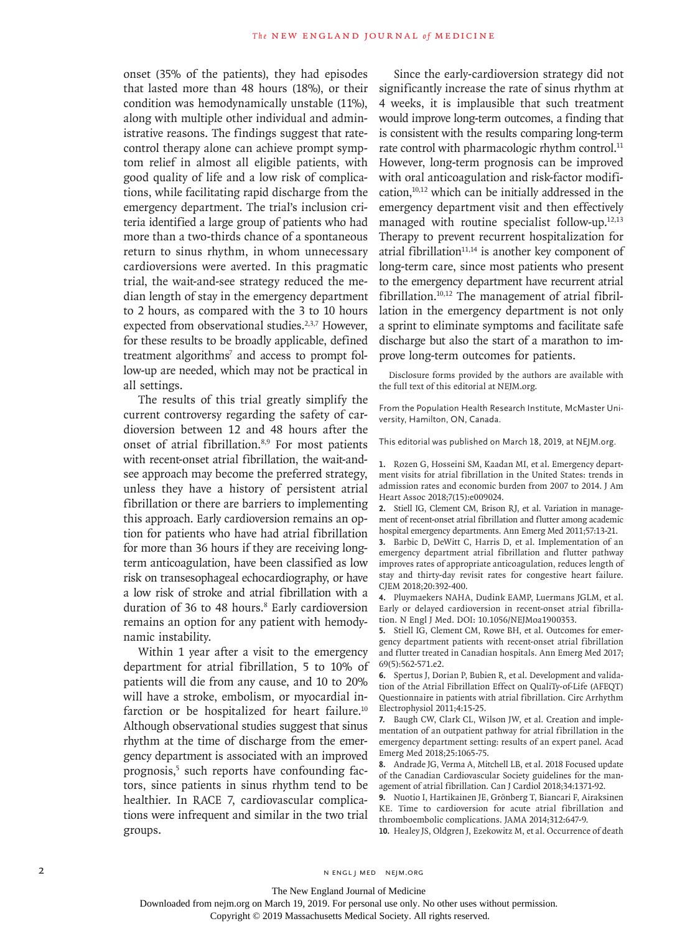onset (35% of the patients), they had episodes that lasted more than 48 hours (18%), or their condition was hemodynamically unstable (11%), along with multiple other individual and administrative reasons. The findings suggest that ratecontrol therapy alone can achieve prompt symptom relief in almost all eligible patients, with good quality of life and a low risk of complications, while facilitating rapid discharge from the emergency department. The trial's inclusion criteria identified a large group of patients who had more than a two-thirds chance of a spontaneous return to sinus rhythm, in whom unnecessary cardioversions were averted. In this pragmatic trial, the wait-and-see strategy reduced the median length of stay in the emergency department to 2 hours, as compared with the 3 to 10 hours expected from observational studies.<sup>2,3,7</sup> However, for these results to be broadly applicable, defined treatment algorithms<sup>7</sup> and access to prompt follow-up are needed, which may not be practical in all settings.

The results of this trial greatly simplify the current controversy regarding the safety of cardioversion between 12 and 48 hours after the onset of atrial fibrillation.8,9 For most patients with recent-onset atrial fibrillation, the wait-andsee approach may become the preferred strategy, unless they have a history of persistent atrial fibrillation or there are barriers to implementing this approach. Early cardioversion remains an option for patients who have had atrial fibrillation for more than 36 hours if they are receiving longterm anticoagulation, have been classified as low risk on transesophageal echocardiography, or have a low risk of stroke and atrial fibrillation with a duration of 36 to 48 hours.<sup>8</sup> Early cardioversion remains an option for any patient with hemodynamic instability.

Within 1 year after a visit to the emergency department for atrial fibrillation, 5 to 10% of patients will die from any cause, and 10 to 20% will have a stroke, embolism, or myocardial infarction or be hospitalized for heart failure.<sup>10</sup> Although observational studies suggest that sinus rhythm at the time of discharge from the emergency department is associated with an improved prognosis,<sup>5</sup> such reports have confounding factors, since patients in sinus rhythm tend to be healthier. In RACE 7, cardiovascular complications were infrequent and similar in the two trial groups.

Since the early-cardioversion strategy did not significantly increase the rate of sinus rhythm at 4 weeks, it is implausible that such treatment would improve long-term outcomes, a finding that is consistent with the results comparing long-term rate control with pharmacologic rhythm control.<sup>11</sup> However, long-term prognosis can be improved with oral anticoagulation and risk-factor modification, $10,12$  which can be initially addressed in the emergency department visit and then effectively managed with routine specialist follow-up.<sup>12,13</sup> Therapy to prevent recurrent hospitalization for atrial fibrillation $11,14$  is another key component of long-term care, since most patients who present to the emergency department have recurrent atrial fibrillation.10,12 The management of atrial fibrillation in the emergency department is not only a sprint to eliminate symptoms and facilitate safe discharge but also the start of a marathon to improve long-term outcomes for patients.

Disclosure forms provided by the authors are available with the full text of this editorial at NEJM.org.

From the Population Health Research Institute, McMaster University, Hamilton, ON, Canada.

This editorial was published on March 18, 2019, at NEJM.org.

**1.** Rozen G, Hosseini SM, Kaadan MI, et al. Emergency department visits for atrial fibrillation in the United States: trends in admission rates and economic burden from 2007 to 2014. J Am Heart Assoc 2018;7(15):e009024.

**2.** Stiell IG, Clement CM, Brison RJ, et al. Variation in management of recent-onset atrial fibrillation and flutter among academic hospital emergency departments. Ann Emerg Med 2011;57:13-21.

**3.** Barbic D, DeWitt C, Harris D, et al. Implementation of an emergency department atrial fibrillation and flutter pathway improves rates of appropriate anticoagulation, reduces length of stay and thirty-day revisit rates for congestive heart failure. CJEM 2018;20:392-400.

**4.** Pluymaekers NAHA, Dudink EAMP, Luermans JGLM, et al. Early or delayed cardioversion in recent-onset atrial fibrillation. N Engl J Med. DOI: 10.1056/NEJMoa1900353.

**5.** Stiell IG, Clement CM, Rowe BH, et al. Outcomes for emergency department patients with recent-onset atrial fibrillation and flutter treated in Canadian hospitals. Ann Emerg Med 2017; 69(5):562-571.e2.

**6.** Spertus J, Dorian P, Bubien R, et al. Development and validation of the Atrial Fibrillation Effect on QualiTy-of-Life (AFEQT) Questionnaire in patients with atrial fibrillation. Circ Arrhythm Electrophysiol 2011;4:15-25.

**7.** Baugh CW, Clark CL, Wilson JW, et al. Creation and implementation of an outpatient pathway for atrial fibrillation in the emergency department setting: results of an expert panel. Acad Emerg Med 2018;25:1065-75.

**8.** Andrade JG, Verma A, Mitchell LB, et al. 2018 Focused update of the Canadian Cardiovascular Society guidelines for the management of atrial fibrillation. Can J Cardiol 2018;34:1371-92.

**9.** Nuotio I, Hartikainen JE, Grönberg T, Biancari F, Airaksinen KE. Time to cardioversion for acute atrial fibrillation and thromboembolic complications. JAMA 2014;312:647-9.

**10.** Healey JS, Oldgren J, Ezekowitz M, et al. Occurrence of death

The New England Journal of Medicine

Downloaded from nejm.org on March 19, 2019. For personal use only. No other uses without permission.

Copyright © 2019 Massachusetts Medical Society. All rights reserved.